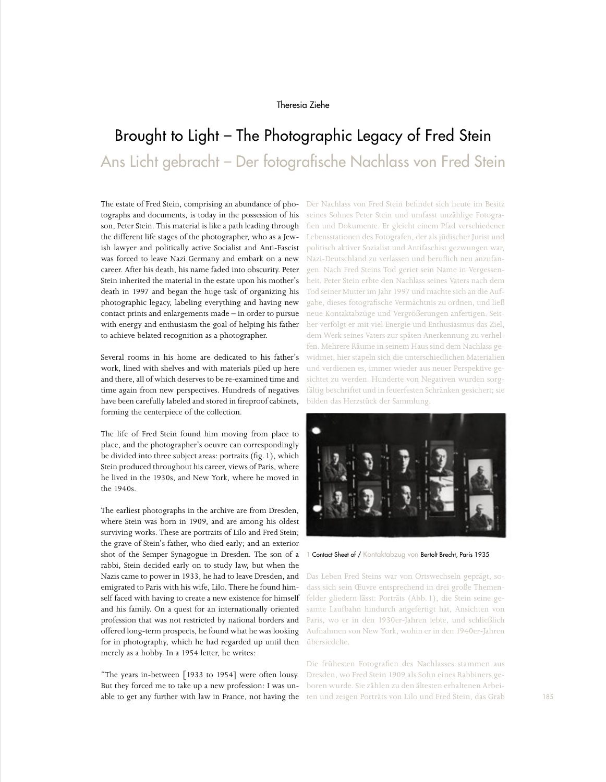## Theresia Ziehe

## Brought to Light – The Photographic Legacy of Fred Stein Ans Licht gebracht – Der fotografische Nachlass von Fred Stein

The estate of Fred Stein, comprising an abundance of photographs and documents, is today in the possession of his son, Peter Stein. This material is like a path leading through the different life stages of the photographer, who as a Jewish lawyer and politically active Socialist and Anti-Fascist was forced to leave Nazi Germany and embark on a new career. After his death, his name faded into obscurity. Peter Stein inherited the material in the estate upon his mother's death in 1997 and began the huge task of organizing his photographic legacy, labeling everything and having new contact prints and enlargements made – in order to pursue with energy and enthusiasm the goal of helping his father to achieve belated recognition as a photographer.

Several rooms in his home are dedicated to his father's work, lined with shelves and with materials piled up here and there, all of which deserves to be re-examined time and time again from new perspectives. Hundreds of negatives have been carefully labeled and stored in fireproof cabinets, forming the centerpiece of the collection.

The life of Fred Stein found him moving from place to place, and the photographer's oeuvre can correspondingly be divided into three subject areas: portraits (fig.1), which Stein produced throughout his career, views of Paris, where he lived in the 1930s, and New York, where he moved in the 1940s.

The earliest photographs in the archive are from Dresden, where Stein was born in 1909, and are among his oldest surviving works. These are portraits of Lilo and Fred Stein; the grave of Stein's father, who died early; and an exterior shot of the Semper Synagogue in Dresden. The son of a rabbi, Stein decided early on to study law, but when the Nazis came to power in 1933, he had to leave Dresden, and emigrated to Paris with his wife, Lilo. There he found himself faced with having to create a new existence for himself and his family. On a quest for an internationally oriented profession that was not restricted by national borders and offered long-term prospects, he found what he was looking for in photography, which he had regarded up until then merely as a hobby. In a 1954 letter, he writes:

"The years in-between [1933 to 1954] were often lousy. But they forced me to take up a new profession: I was unable to get any further with law in France, not having the Der Nachlass von Fred Stein befindet sich heute im Besitz seines Sohnes Peter Stein und umfasst unzählige Fotografien und Dokumente. Er gleicht einem Pfad verschiedener Lebensstationen des Fotografen, der als jüdischer Jurist und politisch aktiver Sozialist und Antifaschist gezwungen war, Nazi-Deutschland zu verlassen und beruflich neu anzufangen. Nach Fred Steins Tod geriet sein Name in Vergessenheit. Peter Stein erbte den Nachlass seines Vaters nach dem Tod seiner Mutter im Jahr 1997 und machte sich an die Aufgabe, dieses fotografische Vermächtnis zu ordnen, und ließ neue Kontaktabzüge und Vergrößerungen anfertigen. Seither verfolgt er mit viel Energie und Enthusiasmus das Ziel, dem Werk seines Vaters zur späten Anerkennung zu verhelfen. Mehrere Räume in seinem Haus sind dem Nachlass gewidmet, hier stapeln sich die unterschiedlichen Materialien und verdienen es, immer wieder aus neuer Perspektive gesichtet zu werden. Hunderte von Negativen wurden sorgfältig beschriftet und in feuerfesten Schränken gesichert; sie bilden das Herzstück der Sammlung.



1 Contact Sheet of / Kontaktabzug von Bertolt Brecht, Paris 1935

Das Leben Fred Steins war von Ortswechseln geprägt, sodass sich sein Œuvre entsprechend in drei große Themenfelder gliedern lässt: Porträts (Abb.1), die Stein seine gesamte Laufbahn hindurch angefertigt hat, Ansichten von Paris, wo er in den 1930er-Jahren lebte, und schließlich Aufnahmen von New York, wohin er in den 1940er-Jahren übersiedelte.

Die frühesten Fotografien des Nachlasses stammen aus Dresden, wo Fred Stein 1909 als Sohn eines Rabbiners geboren wurde. Sie zählen zu den ältesten erhaltenen Arbeiten und zeigen Porträts von Lilo und Fred Stein, das Grab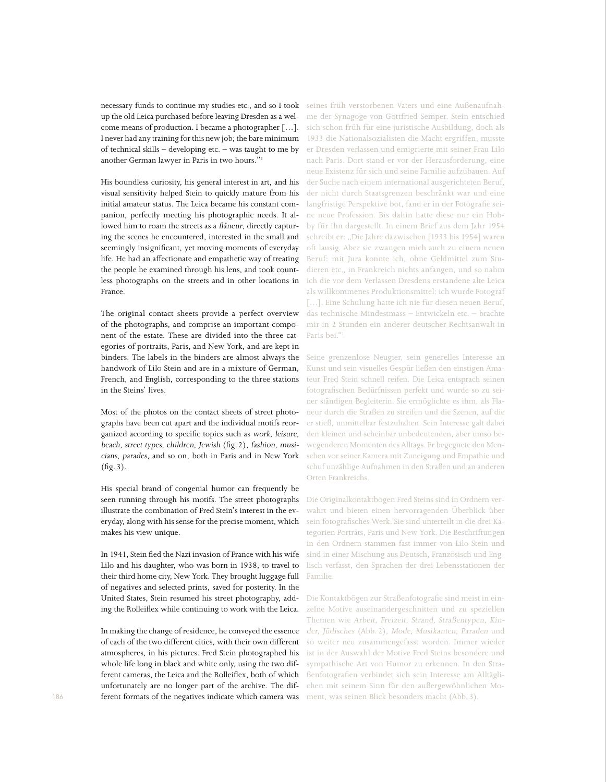necessary funds to continue my studies etc., and so I took up the old Leica purchased before leaving Dresden as a welcome means of production. I became a photographer […]. I never had any training for this new job; the bare minimum of technical skills – developing etc. – was taught to me by another German lawyer in Paris in two hours."1

His boundless curiosity, his general interest in art, and his visual sensitivity helped Stein to quickly mature from his initial amateur status. The Leica became his constant companion, perfectly meeting his photographic needs. It allowed him to roam the streets as a flâneur, directly capturing the scenes he encountered, interested in the small and seemingly insignificant, yet moving moments of everyday life. He had an affectionate and empathetic way of treating the people he examined through his lens, and took countless photographs on the streets and in other locations in France.

The original contact sheets provide a perfect overview of the photographs, and comprise an important component of the estate. These are divided into the three categories of portraits, Paris, and New York, and are kept in binders. The labels in the binders are almost always the handwork of Lilo Stein and are in a mixture of German, French, and English, corresponding to the three stations in the Steins' lives.

Most of the photos on the contact sheets of street photographs have been cut apart and the individual motifs reorganized according to specific topics such as work, leisure, beach, street types, children, Jewish (fig.2), fashion, musicians, parades, and so on, both in Paris and in New York (fig.3).

His special brand of congenial humor can frequently be seen running through his motifs. The street photographs illustrate the combination of Fred Stein's interest in the everyday, along with his sense for the precise moment, which makes his view unique.

In 1941, Stein fled the Nazi invasion of France with his wife Lilo and his daughter, who was born in 1938, to travel to their third home city, New York. They brought luggage full of negatives and selected prints, saved for posterity. In the United States, Stein resumed his street photography, adding the Rolleiflex while continuing to work with the Leica.

In making the change of residence, he conveyed the essence of each of the two different cities, with their own different atmospheres, in his pictures. Fred Stein photographed his whole life long in black and white only, using the two different cameras, the Leica and the Rolleiflex, both of which unfortunately are no longer part of the archive. The different formats of the negatives indicate which camera was

seines früh verstorbenen Vaters und eine Außenaufnahme der Synagoge von Gottfried Semper. Stein entschied sich schon früh für eine juristische Ausbildung, doch als 1933 die Nationalsozialisten die Macht ergriffen, musste er Dresden verlassen und emigrierte mit seiner Frau Lilo nach Paris. Dort stand er vor der Herausforderung, eine neue Existenz für sich und seine Familie aufzubauen. Auf der Suche nach einem international ausgerichteten Beruf, der nicht durch Staatsgrenzen beschränkt war und eine langfristige Perspektive bot, fand er in der Fotografie seine neue Profession. Bis dahin hatte diese nur ein Hobby für ihn dargestellt. In einem Brief aus dem Jahr 1954 schreibt er: "Die Jahre dazwischen [1933 bis 1954] waren oft lausig. Aber sie zwangen mich auch zu einem neuen Beruf: mit Jura konnte ich, ohne Geldmittel zum Studieren etc., in Frankreich nichts anfangen, und so nahm ich die vor dem Verlassen Dresdens erstandene alte Leica als willkommenes Produktionsmittel: ich wurde Fotograf [...]. Eine Schulung hatte ich nie für diesen neuen Beruf, das technische Mindestmass – Entwickeln etc. – brachte mir in 2 Stunden ein anderer deutscher Rechtsanwalt in Paris bei."1

Seine grenzenlose Neugier, sein generelles Interesse an Kunst und sein visuelles Gespür ließen den einstigen Amateur Fred Stein schnell reifen. Die Leica entsprach seinen fotografischen Bedürfnissen perfekt und wurde so zu seiner ständigen Begleiterin. Sie ermöglichte es ihm, als Flaneur durch die Straßen zu streifen und die Szenen, auf die er stieß, unmittelbar festzuhalten. Sein Interesse galt dabei den kleinen und scheinbar unbedeutenden, aber umso bewegenderen Momenten des Alltags. Er begegnete den Menschen vor seiner Kamera mit Zuneigung und Empathie und schuf unzählige Aufnahmen in den Straßen und an anderen Orten Frankreichs.

Die Originalkontaktbögen Fred Steins sind in Ordnern verwahrt und bieten einen hervorragenden Überblick über sein fotografisches Werk. Sie sind unterteilt in die drei Kategorien Porträts, Paris und New York. Die Beschriftungen in den Ordnern stammen fast immer von Lilo Stein und sind in einer Mischung aus Deutsch, Französisch und Englisch verfasst, den Sprachen der drei Lebensstationen der Familie.

Die Kontaktbögen zur Straßenfotografie sind meist in einzelne Motive auseinandergeschnitten und zu speziellen Themen wie Arbeit, Freizeit, Strand, Straßentypen, Kinder, Jüdisches (Abb. 2), Mode, Musikanten, Paraden und so weiter neu zusammengefasst worden. Immer wieder ist in der Auswahl der Motive Fred Steins besondere und sympathische Art von Humor zu erkennen. In den Straßenfotografien verbindet sich sein Interesse am Alltäglichen mit seinem Sinn für den außergewöhnlichen Moment, was seinen Blick besonders macht (Abb. 3).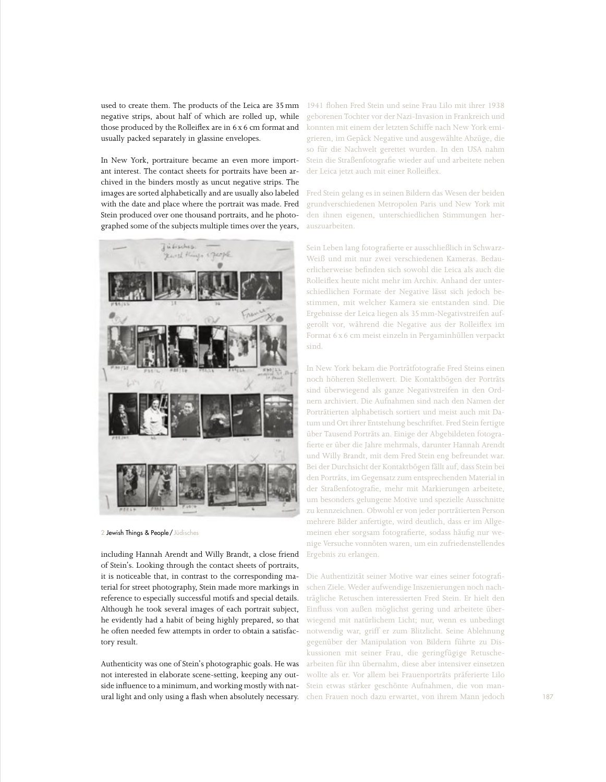used to create them. The products of the Leica are 35mm negative strips, about half of which are rolled up, while those produced by the Rolleiflex are in 6 x 6 cm format and usually packed separately in glassine envelopes.

In New York, portraiture became an even more important interest. The contact sheets for portraits have been archived in the binders mostly as uncut negative strips. The images are sorted alphabetically and are usually also labeled with the date and place where the portrait was made. Fred Stein produced over one thousand portraits, and he photographed some of the subjects multiple times over the years,



2 Jewish Things & People / Jüdisches

including Hannah Arendt and Willy Brandt, a close friend of Stein's. Looking through the contact sheets of portraits, it is noticeable that, in contrast to the corresponding material for street photography, Stein made more markings in reference to especially successful motifs and special details. Although he took several images of each portrait subject, he evidently had a habit of being highly prepared, so that he often needed few attempts in order to obtain a satisfactory result.

Authenticity was one of Stein's photographic goals. He was not interested in elaborate scene-setting, keeping any outside influence to a minimum, and working mostly with natural light and only using a flash when absolutely necessary.

1941 flohen Fred Stein und seine Frau Lilo mit ihrer 1938 geborenen Tochter vor der Nazi-Invasion in Frankreich und konnten mit einem der letzten Schiffe nach New York emigrieren, im Gepäck Negative und ausgewählte Abzüge, die so für die Nachwelt gerettet wurden. In den USA nahm Stein die Straßenfotografie wieder auf und arbeitete neben der Leica jetzt auch mit einer Rolleiflex.

Fred Stein gelang es in seinen Bildern das Wesen der beiden grundverschiedenen Metropolen Paris und New York mit den ihnen eigenen, unterschiedlichen Stimmungen herauszuarbeiten.

Sein Leben lang fotografierte er ausschließlich in Schwarz-Weiß und mit nur zwei verschiedenen Kameras. Bedauerlicherweise befinden sich sowohl die Leica als auch die Rolleiflex heute nicht mehr im Archiv. Anhand der unterschiedlichen Formate der Negative lässt sich jedoch bestimmen, mit welcher Kamera sie entstanden sind. Die Ergebnisse der Leica liegen als 35mm-Negativstreifen aufgerollt vor, während die Negative aus der Rolleiflex im Format 6x6 cm meist einzeln in Pergaminhüllen verpackt sind.

In New York bekam die Porträtfotografie Fred Steins einen noch höheren Stellenwert. Die Kontaktbögen der Porträts sind überwiegend als ganze Negativstreifen in den Ordnern archiviert. Die Aufnahmen sind nach den Namen der Porträtierten alphabetisch sortiert und meist auch mit Datum und Ort ihrer Entstehung beschriftet. Fred Stein fertigte über Tausend Porträts an. Einige der Abgebildeten fotografierte er über die Jahre mehrmals, darunter Hannah Arendt und Willy Brandt, mit dem Fred Stein eng befreundet war. Bei der Durchsicht der Kontaktbögen fällt auf, dass Stein bei den Porträts, im Gegensatz zum entsprechenden Material in der Straßenfotografie, mehr mit Markierungen arbeitete, um besonders gelungene Motive und spezielle Ausschnitte zu kennzeichnen. Obwohl er von jeder porträtierten Person mehrere Bilder anfertigte, wird deutlich, dass er im Allgemeinen eher sorgsam fotografierte, sodass häufig nur wenige Versuche vonnöten waren, um ein zufriedenstellendes Ergebnis zu erlangen.

Die Authentizität seiner Motive war eines seiner fotografischen Ziele. Weder aufwendige Inszenierungen noch nachträgliche Retuschen interessierten Fred Stein. Er hielt den Einfluss von außen möglichst gering und arbeitete überwiegend mit natürlichem Licht; nur, wenn es unbedingt notwendig war, griff er zum Blitzlicht. Seine Ablehnung gegenüber der Manipulation von Bildern führte zu Diskussionen mit seiner Frau, die geringfügige Retuschearbeiten für ihn übernahm, diese aber intensiver einsetzen wollte als er. Vor allem bei Frauenporträts präferierte Lilo Stein etwas stärker geschönte Aufnahmen, die von manchen Frauen noch dazu erwartet, von ihrem Mann jedoch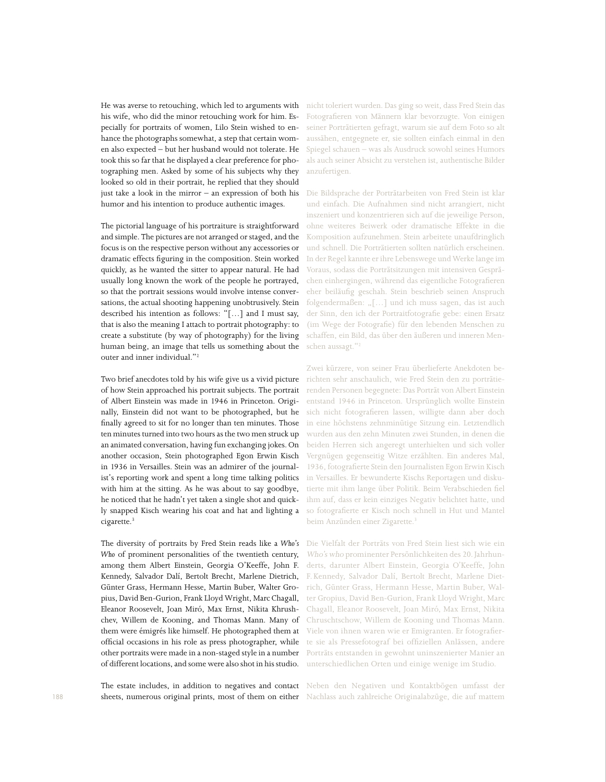He was averse to retouching, which led to arguments with his wife, who did the minor retouching work for him. Especially for portraits of women, Lilo Stein wished to enhance the photographs somewhat, a step that certain women also expected – but her husband would not tolerate. He took this so far that he displayed a clear preference for photographing men. Asked by some of his subjects why they looked so old in their portrait, he replied that they should just take a look in the mirror – an expression of both his humor and his intention to produce authentic images.

The pictorial language of his portraiture is straightforward and simple. The pictures are not arranged or staged, and the focus is on the respective person without any accessories or dramatic effects figuring in the composition. Stein worked quickly, as he wanted the sitter to appear natural. He had usually long known the work of the people he portrayed, so that the portrait sessions would involve intense conversations, the actual shooting happening unobtrusively. Stein described his intention as follows: "[…] and I must say, that is also the meaning I attach to portrait photography: to create a substitute (by way of photography) for the living human being, an image that tells us something about the outer and inner individual."2

Two brief anecdotes told by his wife give us a vivid picture of how Stein approached his portrait subjects. The portrait of Albert Einstein was made in 1946 in Princeton. Originally, Einstein did not want to be photographed, but he finally agreed to sit for no longer than ten minutes. Those ten minutes turned into two hours as the two men struck up an animated conversation, having fun exchanging jokes. On another occasion, Stein photographed Egon Erwin Kisch in 1936 in Versailles. Stein was an admirer of the journalist's reporting work and spent a long time talking politics with him at the sitting. As he was about to say goodbye, he noticed that he hadn't yet taken a single shot and quickly snapped Kisch wearing his coat and hat and lighting a cigarette.<sup>3</sup>

The diversity of portraits by Fred Stein reads like a *Who's Who* of prominent personalities of the twentieth century, among them Albert Einstein, Georgia O'Keeffe, John F. Kennedy, Salvador Dalí, Bertolt Brecht, Marlene Dietrich, Günter Grass, Hermann Hesse, Martin Buber, Walter Gropius, David Ben-Gurion, Frank Lloyd Wright, Marc Chagall, Eleanor Roosevelt, Joan Miró, Max Ernst, Nikita Khrushchev, Willem de Kooning, and Thomas Mann. Many of them were émigrés like himself. He photographed them at official occasions in his role as press photographer, while other portraits were made in a non-staged style in a number of different locations, and some were also shot in his studio.

The estate includes, in addition to negatives and contact sheets, numerous original prints, most of them on either nicht toleriert wurden. Das ging so weit, dass Fred Stein das Fotografieren von Männern klar bevorzugte. Von einigen seiner Porträtierten gefragt, warum sie auf dem Foto so alt aussähen, entgegnete er, sie sollten einfach einmal in den Spiegel schauen – was als Ausdruck sowohl seines Humors als auch seiner Absicht zu verstehen ist, authentische Bilder anzufertigen.

Die Bildsprache der Porträtarbeiten von Fred Stein ist klar und einfach. Die Aufnahmen sind nicht arrangiert, nicht inszeniert und konzentrieren sich auf die jeweilige Person, ohne weiteres Beiwerk oder dramatische Effekte in die Komposition aufzunehmen. Stein arbeitete unaufdringlich und schnell. Die Porträtierten sollten natürlich erscheinen. In der Regel kannte er ihre Lebenswege und Werke lange im Voraus, sodass die Porträtsitzungen mit intensiven Gesprächen einhergingen, während das eigentliche Fotografieren eher beiläufig geschah. Stein beschrieb seinen Anspruch folgendermaßen: "[...] und ich muss sagen, das ist auch der Sinn, den ich der Portraitfotografie gebe: einen Ersatz (im Wege der Fotografie) für den lebenden Menschen zu schaffen, ein Bild, das über den äußeren und inneren Menschen aussagt."2

Zwei kürzere, von seiner Frau überlieferte Anekdoten berichten sehr anschaulich, wie Fred Stein den zu porträtierenden Personen begegnete: Das Porträt von Albert Einstein entstand 1946 in Princeton. Ursprünglich wollte Einstein sich nicht fotografieren lassen, willigte dann aber doch in eine höchstens zehnminütige Sitzung ein. Letztendlich wurden aus den zehn Minuten zwei Stunden, in denen die beiden Herren sich angeregt unterhielten und sich voller Vergnügen gegenseitig Witze erzählten. Ein anderes Mal, 1936, fotografierte Stein den Journalisten Egon Erwin Kisch in Versailles. Er bewunderte Kischs Reportagen und diskutierte mit ihm lange über Politik. Beim Verabschieden fiel ihm auf, dass er kein einziges Negativ belichtet hatte, und so fotografierte er Kisch noch schnell in Hut und Mantel beim Anzünden einer Zigarette.<sup>3</sup>

Die Vielfalt der Porträts von Fred Stein liest sich wie ein Who's who prominenter Persönlichkeiten des 20.Jahrhunderts, darunter Albert Einstein, Georgia O'Keeffe, John F.Kennedy, Salvador Dalí, Bertolt Brecht, Marlene Dietrich, Günter Grass, Hermann Hesse, Martin Buber, Walter Gropius, David Ben-Gurion, Frank Lloyd Wright, Marc Chagall, Eleanor Roosevelt, Joan Miró, Max Ernst, Nikita Chruschtschow, Willem de Kooning und Thomas Mann. Viele von ihnen waren wie er Emigranten. Er fotografierte sie als Pressefotograf bei offiziellen Anlässen, andere Porträts entstanden in gewohnt uninszenierter Manier an unterschiedlichen Orten und einige wenige im Studio.

Neben den Negativen und Kontaktbögen umfasst der Nachlass auch zahlreiche Originalabzüge, die auf mattem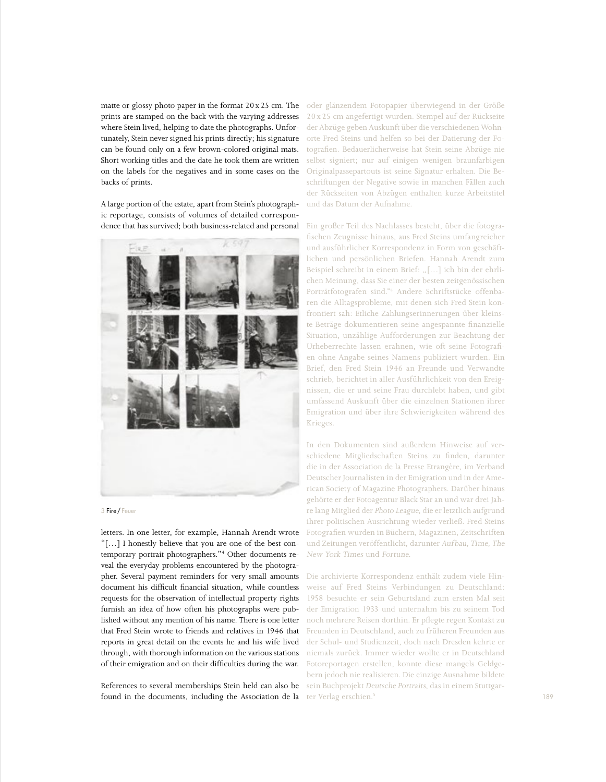matte or glossy photo paper in the format 20x25 cm. The prints are stamped on the back with the varying addresses where Stein lived, helping to date the photographs. Unfortunately, Stein never signed his prints directly; his signature can be found only on a few brown-colored original mats. Short working titles and the date he took them are written on the labels for the negatives and in some cases on the backs of prints.

A large portion of the estate, apart from Stein's photographic reportage, consists of volumes of detailed correspondence that has survived; both business-related and personal





letters. In one letter, for example, Hannah Arendt wrote "[…] I honestly believe that you are one of the best contemporary portrait photographers."4 Other documents reveal the everyday problems encountered by the photographer. Several payment reminders for very small amounts document his difficult financial situation, while countless requests for the observation of intellectual property rights furnish an idea of how often his photographs were published without any mention of his name. There is one letter that Fred Stein wrote to friends and relatives in 1946 that reports in great detail on the events he and his wife lived through, with thorough information on the various stations of their emigration and on their difficulties during the war.

References to several memberships Stein held can also be found in the documents, including the Association de la

oder glänzendem Fotopapier überwiegend in der Größe 20 x 25 cm angefertigt wurden. Stempel auf der Rückseite der Abzüge geben Auskunft über die verschiedenen Wohnorte Fred Steins und helfen so bei der Datierung der Fotografien. Bedauerlicherweise hat Stein seine Abzüge nie selbst signiert; nur auf einigen wenigen braunfarbigen Originalpassepartouts ist seine Signatur erhalten. Die Beschriftungen der Negative sowie in manchen Fällen auch der Rückseiten von Abzügen enthalten kurze Arbeitstitel und das Datum der Aufnahme.

Ein großer Teil des Nachlasses besteht, über die fotografischen Zeugnisse hinaus, aus Fred Steins umfangreicher und ausführlicher Korrespondenz in Form von geschäftlichen und persönlichen Briefen. Hannah Arendt zum Beispiel schreibt in einem Brief: "[...] ich bin der ehrlichen Meinung, dass Sie einer der besten zeitgenössischen Porträtfotografen sind."4 Andere Schriftstücke offenbaren die Alltagsprobleme, mit denen sich Fred Stein konfrontiert sah: Etliche Zahlungserinnerungen über kleinste Beträge dokumentieren seine angespannte finanzielle Situation, unzählige Aufforderungen zur Beachtung der Urheberrechte lassen erahnen, wie oft seine Fotografien ohne Angabe seines Namens publiziert wurden. Ein Brief, den Fred Stein 1946 an Freunde und Verwandte schrieb, berichtet in aller Ausführlichkeit von den Ereignissen, die er und seine Frau durchlebt haben, und gibt umfassend Auskunft über die einzelnen Stationen ihrer Emigration und über ihre Schwierigkeiten während des Krieges.

In den Dokumenten sind außerdem Hinweise auf verschiedene Mitgliedschaften Steins zu finden, darunter die in der Association de la Presse Etrangère, im Verband Deutscher Journalisten in der Emigration und in der American Society of Magazine Photographers. Darüber hinaus gehörte er der Fotoagentur Black Star an und war drei Jahre lang Mitglied der Photo League, die er letztlich aufgrund ihrer politischen Ausrichtung wieder verließ. Fred Steins Fotografien wurden in Büchern, Magazinen, Zeitschriften und Zeitungen veröffentlicht, darunter Aufbau, Time, The New York Times und Fortune.

Die archivierte Korrespondenz enthält zudem viele Hinweise auf Fred Steins Verbindungen zu Deutschland: 1958 besuchte er sein Geburtsland zum ersten Mal seit der Emigration 1933 und unternahm bis zu seinem Tod noch mehrere Reisen dorthin. Er pflegte regen Kontakt zu Freunden in Deutschland, auch zu früheren Freunden aus der Schul- und Studienzeit, doch nach Dresden kehrte er niemals zurück. Immer wieder wollte er in Deutschland Fotoreportagen erstellen, konnte diese mangels Geldgebern jedoch nie realisieren. Die einzige Ausnahme bildete sein Buchprojekt Deutsche Portraits, das in einem Stuttgarter Verlag erschien.<sup>5</sup>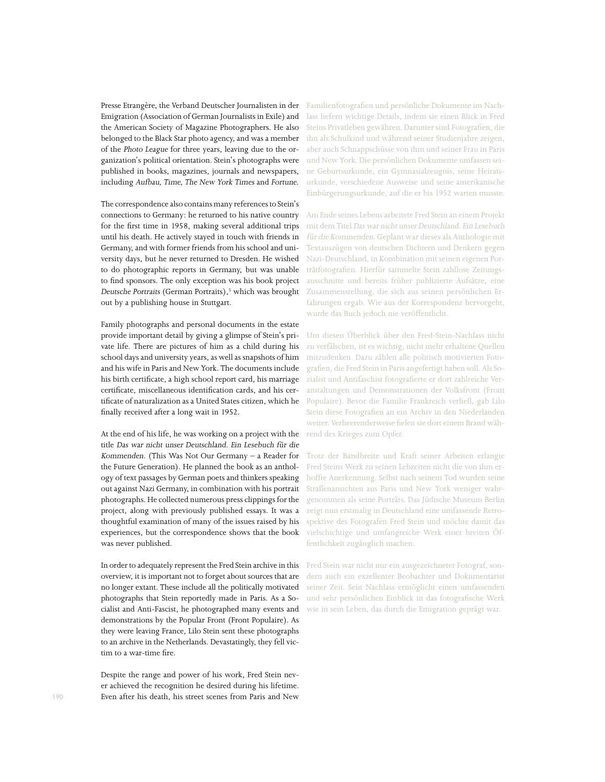Presse Etrangère*,* the Verband Deutscher Journalisten in der Emigration (Association of German Journalists in Exile) and the American Society of Magazine Photographers*.* He also belonged to the Black Star photo agency, and was a member of the Photo League for three years, leaving due to the organization's political orientation. Stein's photographs were published in books, magazines, journals and newspapers, including Aufbau*,* Time*,* The New York Times and Fortune*.*

The correspondence also contains many references to Stein's connections to Germany: he returned to his native country for the first time in 1958, making several additional trips until his death. He actively stayed in touch with friends in Germany, and with former friends from his school and university days, but he never returned to Dresden. He wished to do photographic reports in Germany, but was unable to find sponsors. The only exception was his book project Deutsche Portraits (German Portraits),<sup>5</sup> which was brought out by a publishing house in Stuttgart.

Family photographs and personal documents in the estate provide important detail by giving a glimpse of Stein's private life. There are pictures of him as a child during his school days and university years, as well as snapshots of him and his wife in Paris and New York. The documents include his birth certificate, a high school report card, his marriage certificate, miscellaneous identification cards, and his certificate of naturalization as a United States citizen, which he finally received after a long wait in 1952.

At the end of his life, he was working on a project with the title Das war nicht unser Deutschland. Ein Lesebuch für die Kommenden. (This Was Not Our Germany – a Reader for the Future Generation). He planned the book as an anthology of text passages by German poets and thinkers speaking out against Nazi Germany, in combination with his portrait photographs. He collected numerous press clippings for the project, along with previously published essays. It was a thoughtful examination of many of the issues raised by his experiences, but the correspondence shows that the book was never published.

In order to adequately represent the Fred Stein archive in this overview, it is important not to forget about sources that are no longer extant. These include all the politically motivated photographs that Stein reportedly made in Paris. As a Socialist and Anti-Fascist, he photographed many events and demonstrations by the Popular Front (Front Populaire)*.* As they were leaving France, Lilo Stein sent these photographs to an archive in the Netherlands. Devastatingly, they fell victim to a war-time fire.

Despite the range and power of his work, Fred Stein never achieved the recognition he desired during his lifetime. Even after his death, his street scenes from Paris and New Familienfotografien und persönliche Dokumente im Nachlass liefern wichtige Details, indem sie einen Blick in Fred Steins Privatleben gewähren. Darunter sind Fotografien, die ihn als Schulkind und während seiner Studienjahre zeigen, aber auch Schnappschüsse von ihm und seiner Frau in Paris und New York. Die persönlichen Dokumente umfassen seine Geburtsurkunde, ein Gymnasialzeugnis, seine Heiratsurkunde, verschiedene Ausweise und seine amerikanische Einbürgerungsurkunde, auf die er bis 1952 warten musste.

Am Ende seines Lebens arbeitete Fred Stein an einem Projekt mit dem Titel Das war nicht unser Deutschland. Ein Lesebuch für die Kommenden. Geplant war dieses als Anthologie mit Textauszügen von deutschen Dichtern und Denkern gegen Nazi-Deutschland, in Kombination mit seinen eigenen Porträtfotografien. Hierfür sammelte Stein zahllose Zeitungsausschnitte und bereits früher publizierte Aufsätze, eine Zusammenstellung, die sich aus seinen persönlichen Erfahrungen ergab. Wie aus der Korrespondenz hervorgeht, wurde das Buch jedoch nie veröffentlicht.

Um diesen Überblick über den Fred-Stein-Nachlass nicht zu verfälschen, ist es wichtig, nicht mehr erhaltene Quellen mitzudenken. Dazu zählen alle politisch motivierten Fotografien, die Fred Stein in Paris angefertigt haben soll. Als Sozialist und Antifaschist fotografierte er dort zahlreiche Veranstaltungen und Demonstrationen der Volksfront (Front Populaire). Bevor die Familie Frankreich verließ, gab Lilo Stein diese Fotografien an ein Archiv in den Niederlanden weiter. Verheerenderweise fielen sie dort einem Brand während des Krieges zum Opfer.

Trotz der Bandbreite und Kraft seiner Arbeiten erlangte Fred Steins Werk zu seinen Lebzeiten nicht die von ihm erhoffte Anerkennung. Selbst nach seinem Tod wurden seine Straßenansichten aus Paris und New York weniger wahrgenommen als seine Porträts. Das Jüdische Museum Berlin zeigt nun erstmalig in Deutschland eine umfassende Retrospektive des Fotografen Fred Stein und möchte damit das vielschichtige und umfangreiche Werk einer breiten Öffentlichkeit zugänglich machen.

Fred Stein war nicht nur ein ausgezeichneter Fotograf, sondern auch ein exzellenter Beobachter und Dokumentarist seiner Zeit. Sein Nachlass ermöglicht einen umfassenden und sehr persönlichen Einblick in das fotografische Werk wie in sein Leben, das durch die Emigration geprägt war.